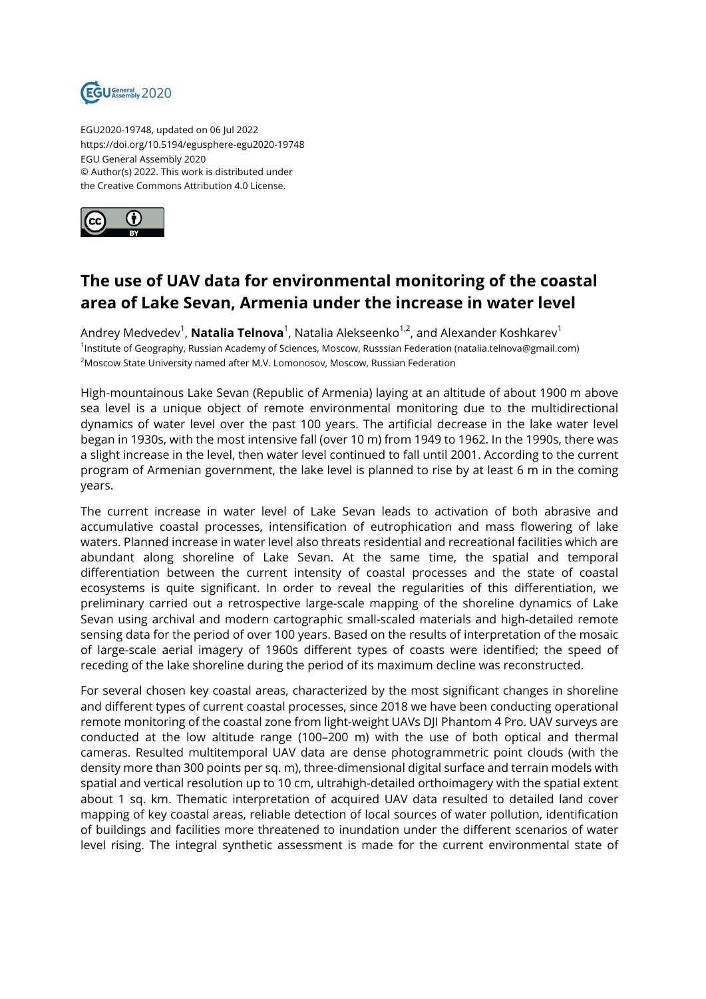

EGU2020-19748, updated on 06 Jul 2022 https://doi.org/10.5194/egusphere-egu2020-19748 EGU General Assembly 2020 © Author(s) 2022. This work is distributed under the Creative Commons Attribution 4.0 License.



## **The use of UAV data for environmental monitoring of the coastal area of Lake Sevan, Armenia under the increase in water level**

Andrey Medvedev<sup>1</sup>, **Natalia Telnova**<sup>1</sup>, Natalia Alekseenko<sup>1,2</sup>, and Alexander Koshkarev<sup>1</sup> 1 Institute of Geography, Russian Academy of Sciences, Moscow, Russsian Federation (natalia.telnova@gmail.com) <sup>2</sup>Moscow State University named after M.V. Lomonosov, Moscow, Russian Federation

High-mountainous Lake Sevan (Republic of Armenia) laying at an altitude of about 1900 m above sea level is a unique object of remote environmental monitoring due to the multidirectional dynamics of water level over the past 100 years. The artificial decrease in the lake water level began in 1930s, with the most intensive fall (over 10 m) from 1949 to 1962. In the 1990s, there was a slight increase in the level, then water level continued to fall until 2001. According to the current program of Armenian government, the lake level is planned to rise by at least 6 m in the coming years.

The current increase in water level of Lake Sevan leads to activation of both abrasive and accumulative coastal processes, intensification of eutrophication and mass flowering of lake waters. Planned increase in water level also threats residential and recreational facilities which are abundant along shoreline of Lake Sevan. At the same time, the spatial and temporal differentiation between the current intensity of coastal processes and the state of coastal ecosystems is quite significant. In order to reveal the regularities of this differentiation, we preliminary carried out a retrospective large-scale mapping of the shoreline dynamics of Lake Sevan using archival and modern cartographic small-scaled materials and high-detailed remote sensing data for the period of over 100 years. Based on the results of interpretation of the mosaic of large-scale aerial imagery of 1960s different types of coasts were identified; the speed of receding of the lake shoreline during the period of its maximum decline was reconstructed.

For several chosen key coastal areas, characterized by the most significant changes in shoreline and different types of current coastal processes, since 2018 we have been conducting operational remote monitoring of the coastal zone from light-weight UAVs DJI Phantom 4 Pro. UAV surveys are conducted at the low altitude range (100–200 m) with the use of both optical and thermal cameras. Resulted multitemporal UAV data are dense photogrammetric point clouds (with the density more than 300 points per sq. m), three-dimensional digital surface and terrain models with spatial and vertical resolution up to 10 cm, ultrahigh-detailed orthoimagery with the spatial extent about 1 sq. km. Thematic interpretation of acquired UAV data resulted to detailed land cover mapping of key coastal areas, reliable detection of local sources of water pollution, identification of buildings and facilities more threatened to inundation under the different scenarios of water level rising. The integral synthetic assessment is made for the current environmental state of